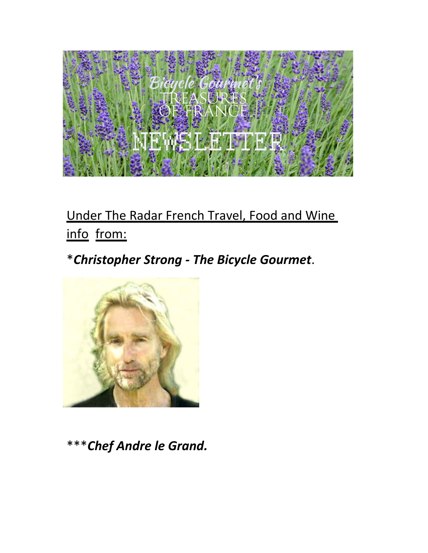

# Under The Radar French Travel, Food and Wine info from:

# \**Christopher Strong - The Bicycle Gourmet*.



\*\*\**Chef Andre le Grand.*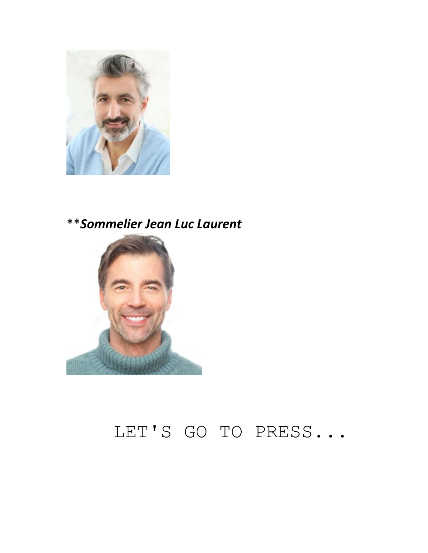

## \*\**Sommelier Jean Luc Laurent*



# LET'S GO TO PRESS...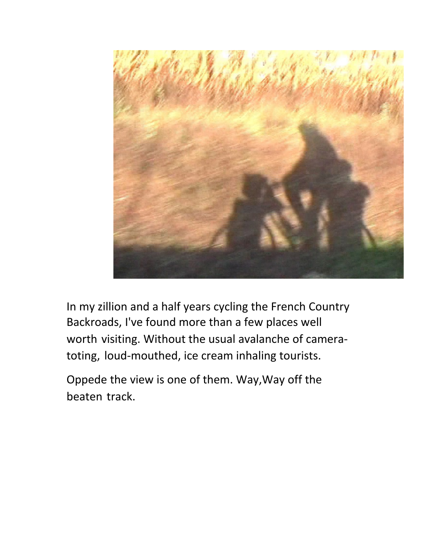

In my zillion and a half years cycling the French Country Backroads, I've found more than a few places well worth visiting. Without the usual avalanche of cameratoting, loud-mouthed, ice cream inhaling tourists.

Oppede the view is one of them. Way,Way off the beaten track.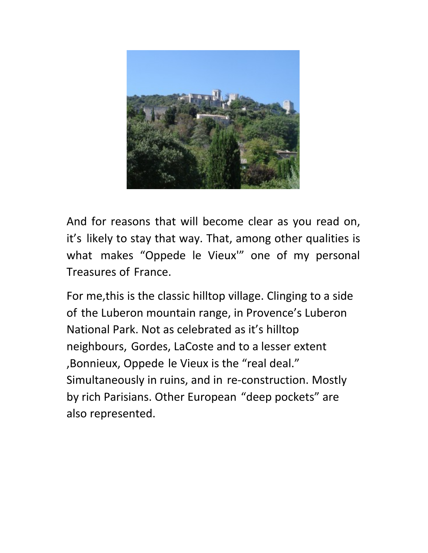

And for reasons that will become clear as you read on, it's likely to stay that way. That, among other qualities is what makes "Oppede le Vieux'" one of my personal Treasures of France.

For me,this is the classic hilltop village. Clinging to a side of the Luberon mountain range, in Provence's Luberon National Park. Not as celebrated as it's hilltop neighbours, Gordes, LaCoste and to a lesser extent ,Bonnieux, Oppede le Vieux is the "real deal." Simultaneously in ruins, and in re-construction. Mostly by rich Parisians. Other European "deep pockets" are also represented.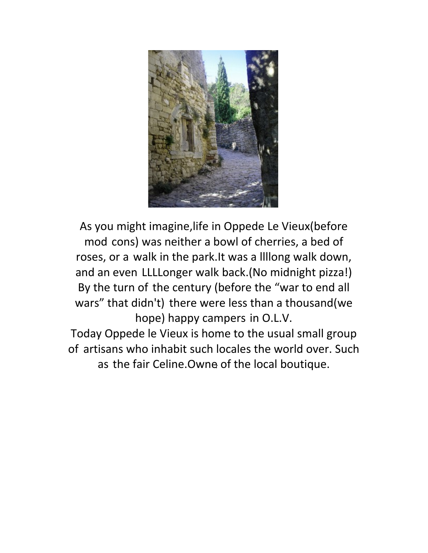

As you might imagine,life in Oppede Le Vieux(before mod cons) was neither a bowl of cherries, a bed of roses, or a walk in the park.It was a llllong walk down, and an even LLLLonger walk back.(No midnight pizza!) By the turn of the century (before the "war to end all wars" that didn't) there were less than a thousand(we hope) happy campers in O.L.V. Today Oppede le Vieux is home to the usual small group of artisans who inhabit such locales the world over. Such

as the fair Celine. Owne of the local boutique.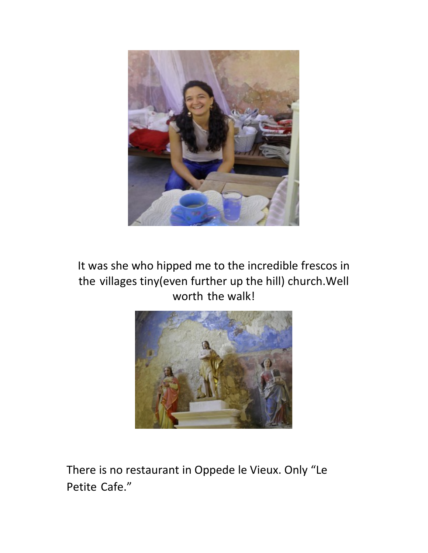

It was she who hipped me to the incredible frescos in the villages tiny(even further up the hill) church.Well worth the walk!



There is no restaurant in Oppede le Vieux. Only "Le Petite Cafe."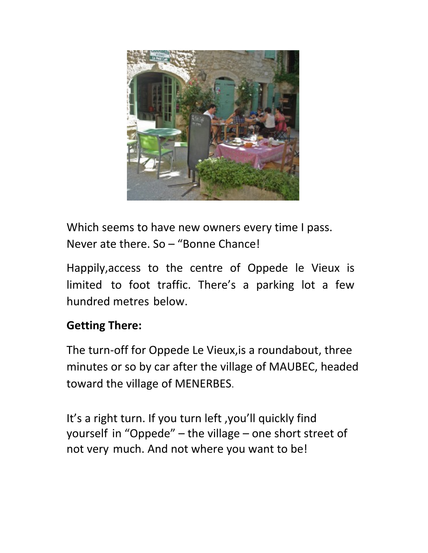

Which seems to have new owners every time I pass. Never ate there. So – "Bonne Chance!

Happily,access to the centre of Oppede le Vieux is limited to foot traffic. There's a parking lot a few hundred metres below.

#### **Getting There:**

The turn-off for Oppede Le Vieux,is a roundabout, three minutes or so by car after the village of MAUBEC, headed toward the village of MENERBES.

It's a right turn. If you turn left ,you'll quickly find yourself in "Oppede" – the village – one short street of not very much. And not where you want to be!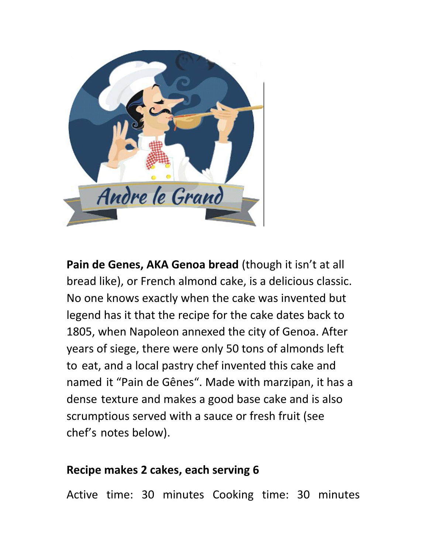

**Pain de Genes, AKA Genoa bread** (though it isn't at all bread like), or French almond cake, is a delicious classic. No one knows exactly when the cake was invented but legend has it that the recipe for the cake dates back to 1805, when Napoleon annexed the city of Genoa. After years of siege, there were only 50 tons of almonds left to eat, and a local pastry chef invented this cake and named it "Pain de Gênes". Made with marzipan, it has a dense texture and makes a good base cake and is also scrumptious served with a sauce or fresh fruit (see chef's notes below).

#### **Recipe makes 2 cakes, each serving 6**

Active time: 30 minutes Cooking time: 30 minutes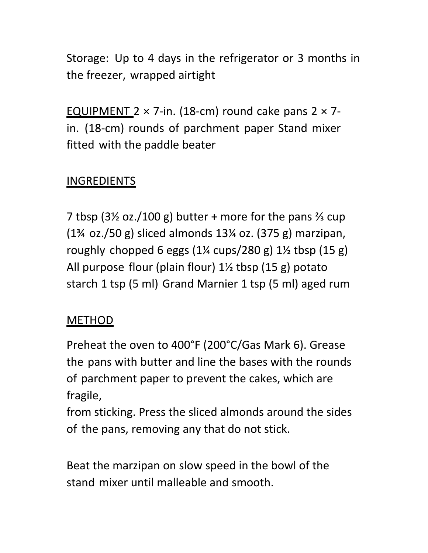Storage: Up to 4 days in the refrigerator or 3 months in the freezer, wrapped airtight

EQUIPMENT  $2 \times 7$ -in. (18-cm) round cake pans  $2 \times 7$ in. (18-cm) rounds of parchment paper Stand mixer fitted with the paddle beater

### **INGREDIENTS**

7 tbsp  $(3\frac{1}{2}$  oz./100 g) butter + more for the pans  $\frac{2}{3}$  cup (1¾ oz./50 g) sliced almonds 13¼ oz. (375 g) marzipan, roughly chopped 6 eggs  $(1\frac{1}{4} \text{ cups}/280 \text{ g})$  1 $\frac{1}{2} \text{ tbsp}$   $(15 \text{ g})$ All purpose flour (plain flour) 1½ tbsp (15 g) potato starch 1 tsp (5 ml) Grand Marnier 1 tsp (5 ml) aged rum

#### METHOD

Preheat the oven to 400°F (200°C/Gas Mark 6). Grease the pans with butter and line the bases with the rounds of parchment paper to prevent the cakes, which are fragile,

from sticking. Press the sliced almonds around the sides of the pans, removing any that do not stick.

Beat the marzipan on slow speed in the bowl of the stand mixer until malleable and smooth.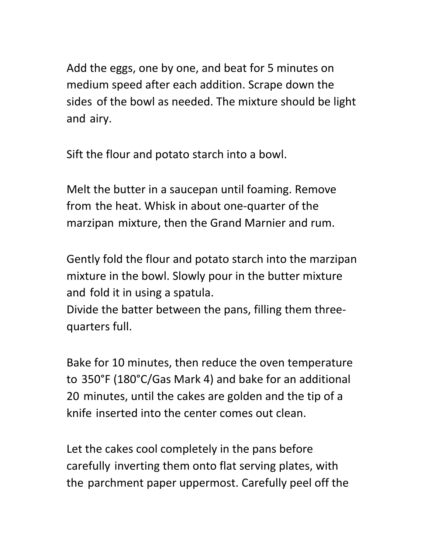Add the eggs, one by one, and beat for 5 minutes on medium speed after each addition. Scrape down the sides of the bowl as needed. The mixture should be light and airy.

Sift the flour and potato starch into a bowl.

Melt the butter in a saucepan until foaming. Remove from the heat. Whisk in about one-quarter of the marzipan mixture, then the Grand Marnier and rum.

Gently fold the flour and potato starch into the marzipan mixture in the bowl. Slowly pour in the butter mixture and fold it in using a spatula.

Divide the batter between the pans, filling them threequarters full.

Bake for 10 minutes, then reduce the oven temperature to 350°F (180°C/Gas Mark 4) and bake for an additional 20 minutes, until the cakes are golden and the tip of a knife inserted into the center comes out clean.

Let the cakes cool completely in the pans before carefully inverting them onto flat serving plates, with the parchment paper uppermost. Carefully peel off the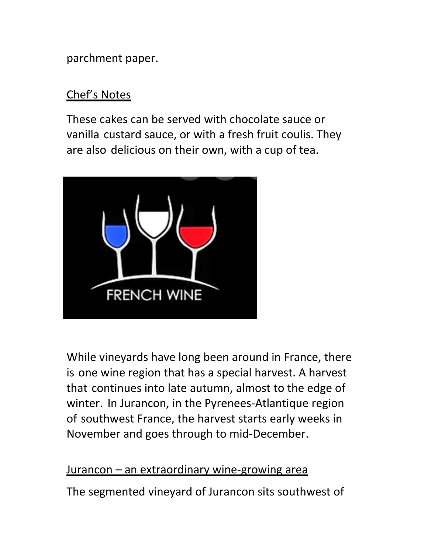parchment paper.

#### Chef's Notes

These cakes can be served with chocolate sauce or vanilla custard sauce, or with a fresh fruit coulis. They are also delicious on their own, with a cup of tea.



While vineyards have long been around in France, there is one wine region that has a special harvest. A harvest that continues into late autumn, almost to the edge of winter. In Jurancon, in the Pyrenees-Atlantique region of southwest France, the harvest starts early weeks in November and goes through to mid-December.

#### Jurancon – an extraordinary wine-growing area

The segmented vineyard of Jurancon sits southwest of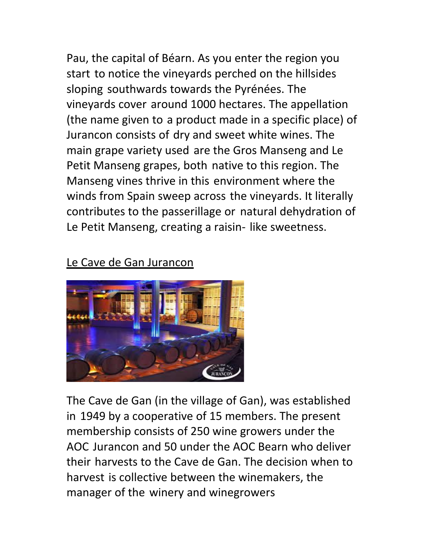Pau, the capital of Béarn. As you enter the region you start to notice the vineyards perched on the hillsides sloping southwards towards the Pyrénées. The vineyards cover around 1000 hectares. The appellation (the name given to a product made in a specific place) of Jurancon consists of dry and sweet white wines. The main grape variety used are the Gros Manseng and Le Petit Manseng grapes, both native to this region. The Manseng vines thrive in this environment where the winds from Spain sweep across the vineyards. It literally contributes to the passerillage or natural dehydration of Le Petit Manseng, creating a raisin- like sweetness.

#### Le Cave de Gan Jurancon



The Cave de Gan (in the village of Gan), was established in 1949 by a cooperative of 15 members. The present membership consists of 250 wine growers under the AOC Jurancon and 50 under the AOC Bearn who deliver their harvests to the Cave de Gan. The decision when to harvest is collective between the winemakers, the manager of the winery and winegrowers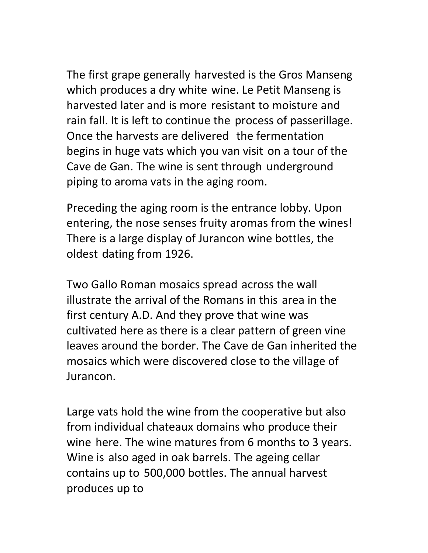The first grape generally harvested is the Gros Manseng which produces a dry white wine. Le Petit Manseng is harvested later and is more resistant to moisture and rain fall. It is left to continue the process of passerillage. Once the harvests are delivered the fermentation begins in huge vats which you van visit on a tour of the Cave de Gan. The wine is sent through underground piping to aroma vats in the aging room.

Preceding the aging room is the entrance lobby. Upon entering, the nose senses fruity aromas from the wines! There is a large display of Jurancon wine bottles, the oldest dating from 1926.

Two Gallo Roman mosaics spread across the wall illustrate the arrival of the Romans in this area in the first century A.D. And they prove that wine was cultivated here as there is a clear pattern of green vine leaves around the border. The Cave de Gan inherited the mosaics which were discovered close to the village of Jurancon.

Large vats hold the wine from the cooperative but also from individual chateaux domains who produce their wine here. The wine matures from 6 months to 3 years. Wine is also aged in oak barrels. The ageing cellar contains up to 500,000 bottles. The annual harvest produces up to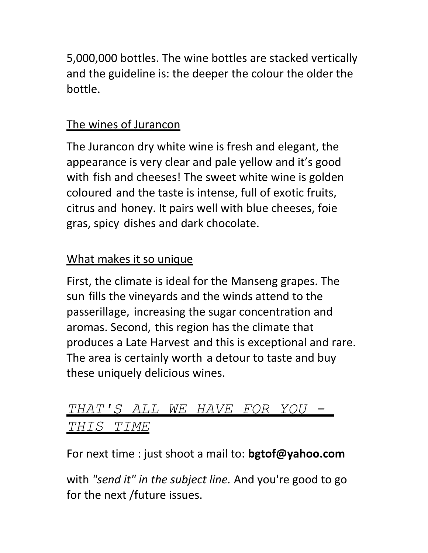5,000,000 bottles. The wine bottles are stacked vertically and the guideline is: the deeper the colour the older the bottle.

### The wines of Jurancon

The Jurancon dry white wine is fresh and elegant, the appearance is very clear and pale yellow and it's good with fish and cheeses! The sweet white wine is golden coloured and the taste is intense, full of exotic fruits, citrus and honey. It pairs well with blue cheeses, foie gras, spicy dishes and dark chocolate.

## What makes it so unique

First, the climate is ideal for the Manseng grapes. The sun fills the vineyards and the winds attend to the passerillage, increasing the sugar concentration and aromas. Second, this region has the climate that produces a Late Harvest and this is exceptional and rare. The area is certainly worth a detour to taste and buy these uniquely delicious wines.

## *THAT'S ALL WE HAVE FOR YOU - THIS TIME*

For next time : just shoot a mail to: **bgtof@yahoo.com**

with *"send it" in the subject line.* And you're good to go for the next /future issues.